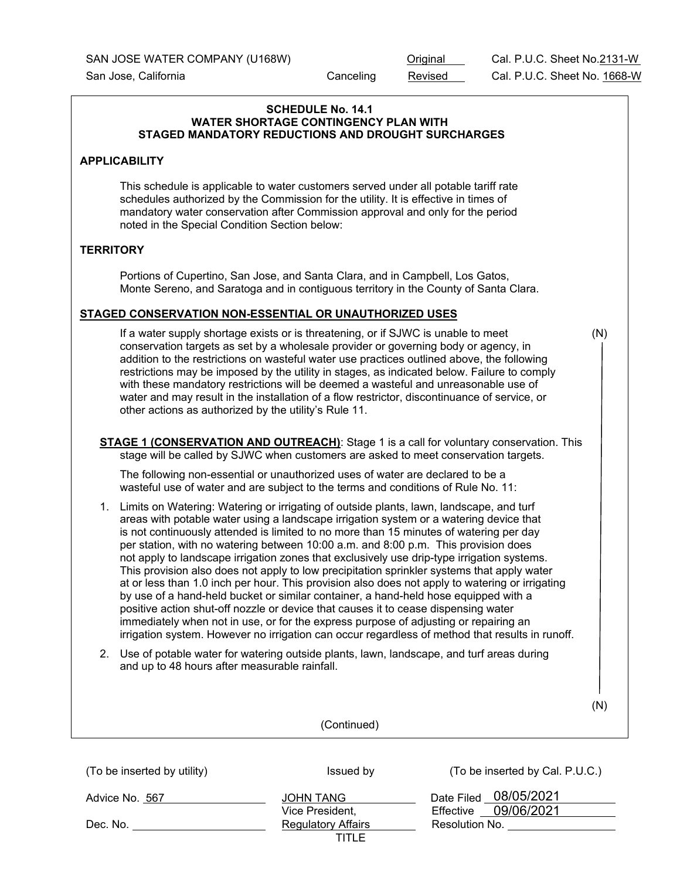# (To be inserted by utility) Issued by Issued by  $($ To be inserted by Cal. P.U.C.) **SCHEDULE No. 14.1 WATER SHORTAGE CONTINGENCY PLAN WITH STAGED MANDATORY REDUCTIONS AND DROUGHT SURCHARGES APPLICABILITY** This schedule is applicable to water customers served under all potable tariff rate schedules authorized by the Commission for the utility. It is effective in times of mandatory water conservation after Commission approval and only for the period noted in the Special Condition Section below: **TERRITORY** Portions of Cupertino, San Jose, and Santa Clara, and in Campbell, Los Gatos, Monte Sereno, and Saratoga and in contiguous territory in the County of Santa Clara. **STAGED CONSERVATION NON-ESSENTIAL OR UNAUTHORIZED USES** If a water supply shortage exists or is threatening, or if SJWC is unable to meet (N) conservation targets as set by a wholesale provider or governing body or agency, in addition to the restrictions on wasteful water use practices outlined above, the following restrictions may be imposed by the utility in stages, as indicated below. Failure to comply with these mandatory restrictions will be deemed a wasteful and unreasonable use of water and may result in the installation of a flow restrictor, discontinuance of service, or other actions as authorized by the utility's Rule 11. **STAGE 1 (CONSERVATION AND OUTREACH)**: Stage 1 is a call for voluntary conservation. This stage will be called by SJWC when customers are asked to meet conservation targets. The following non-essential or unauthorized uses of water are declared to be a wasteful use of water and are subject to the terms and conditions of Rule No. 11: 1. Limits on Watering: Watering or irrigating of outside plants, lawn, landscape, and turf areas with potable water using a landscape irrigation system or a watering device that is not continuously attended is limited to no more than 15 minutes of watering per day per station, with no watering between 10:00 a.m. and 8:00 p.m. This provision does not apply to landscape irrigation zones that exclusively use drip-type irrigation systems. This provision also does not apply to low precipitation sprinkler systems that apply water at or less than 1.0 inch per hour. This provision also does not apply to watering or irrigating by use of a hand-held bucket or similar container, a hand-held hose equipped with a positive action shut-off nozzle or device that causes it to cease dispensing water immediately when not in use, or for the express purpose of adjusting or repairing an irrigation system. However no irrigation can occur regardless of method that results in runoff. 2. Use of potable water for watering outside plants, lawn, landscape, and turf areas during and up to 48 hours after measurable rainfall. (N) (Continued)

| Advice No. 567 | JOHN TANG                 | Date Filed 08/05/2021   |
|----------------|---------------------------|-------------------------|
|                | Vice President.           | 09/06/2021<br>Effective |
| Dec. No.       | <b>Regulatory Affairs</b> | Resolution No.          |
|                | TITLE                     |                         |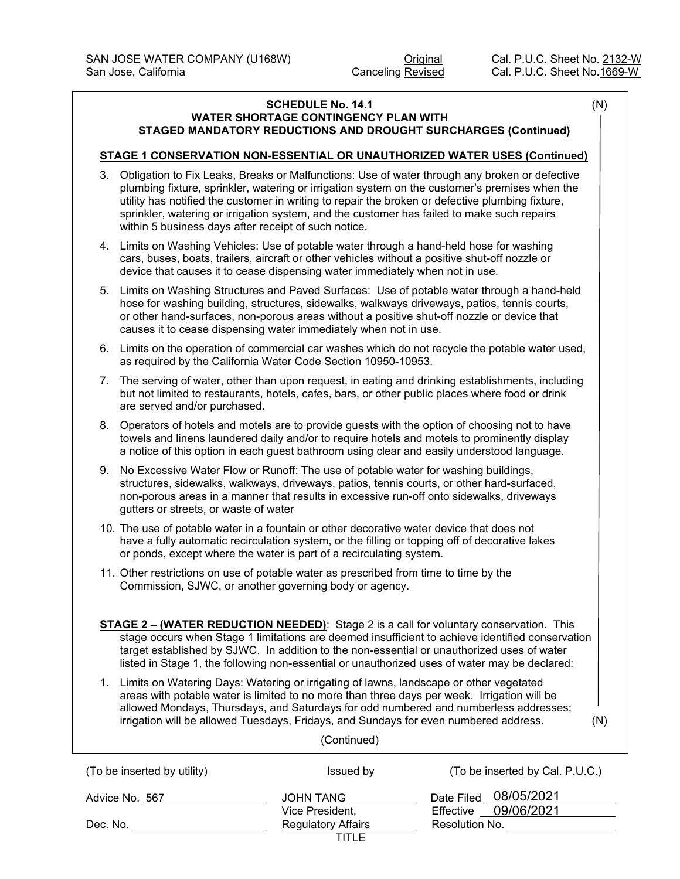#### **SCHEDULE No. 14.1** (N) **WATER SHORTAGE CONTINGENCY PLAN WITH STAGED MANDATORY REDUCTIONS AND DROUGHT SURCHARGES (Continued)**

### **STAGE 1 CONSERVATION NON-ESSENTIAL OR UNAUTHORIZED WATER USES (Continued)**

- 3. Obligation to Fix Leaks, Breaks or Malfunctions: Use of water through any broken or defective plumbing fixture, sprinkler, watering or irrigation system on the customer's premises when the utility has notified the customer in writing to repair the broken or defective plumbing fixture, sprinkler, watering or irrigation system, and the customer has failed to make such repairs within 5 business days after receipt of such notice.
- 4. Limits on Washing Vehicles: Use of potable water through a hand-held hose for washing cars, buses, boats, trailers, aircraft or other vehicles without a positive shut-off nozzle or device that causes it to cease dispensing water immediately when not in use.
- 5. Limits on Washing Structures and Paved Surfaces: Use of potable water through a hand-held hose for washing building, structures, sidewalks, walkways driveways, patios, tennis courts, or other hand-surfaces, non-porous areas without a positive shut-off nozzle or device that causes it to cease dispensing water immediately when not in use.
- 6. Limits on the operation of commercial car washes which do not recycle the potable water used, as required by the California Water Code Section 10950-10953.
- 7. The serving of water, other than upon request, in eating and drinking establishments, including but not limited to restaurants, hotels, cafes, bars, or other public places where food or drink are served and/or purchased.
- 8. Operators of hotels and motels are to provide guests with the option of choosing not to have towels and linens laundered daily and/or to require hotels and motels to prominently display a notice of this option in each guest bathroom using clear and easily understood language.
- 9. No Excessive Water Flow or Runoff: The use of potable water for washing buildings, structures, sidewalks, walkways, driveways, patios, tennis courts, or other hard-surfaced, non-porous areas in a manner that results in excessive run-off onto sidewalks, driveways gutters or streets, or waste of water
- 10. The use of potable water in a fountain or other decorative water device that does not have a fully automatic recirculation system, or the filling or topping off of decorative lakes or ponds, except where the water is part of a recirculating system.
- 11. Other restrictions on use of potable water as prescribed from time to time by the Commission, SJWC, or another governing body or agency.
- **STAGE 2 – (WATER REDUCTION NEEDED)**: Stage 2 is a call for voluntary conservation. This stage occurs when Stage 1 limitations are deemed insufficient to achieve identified conservation target established by SJWC. In addition to the non-essential or unauthorized uses of water listed in Stage 1, the following non-essential or unauthorized uses of water may be declared:
- 1. Limits on Watering Days: Watering or irrigating of lawns, landscape or other vegetated areas with potable water is limited to no more than three days per week. Irrigation will be allowed Mondays, Thursdays, and Saturdays for odd numbered and numberless addresses; irrigation will be allowed Tuesdays, Fridays, and Sundays for even numbered address. (N)

| (To be inserted by utility) | Issued by                          | (To be inserted by Cal. P.U.C.)                  |
|-----------------------------|------------------------------------|--------------------------------------------------|
| Advice No. 567              | JOHN TANG<br>Vice President,       | Date Filed 08/05/2021<br>09/06/2021<br>Effective |
| Dec. No.                    | <b>Regulatory Affairs</b><br>TITLE | Resolution No.                                   |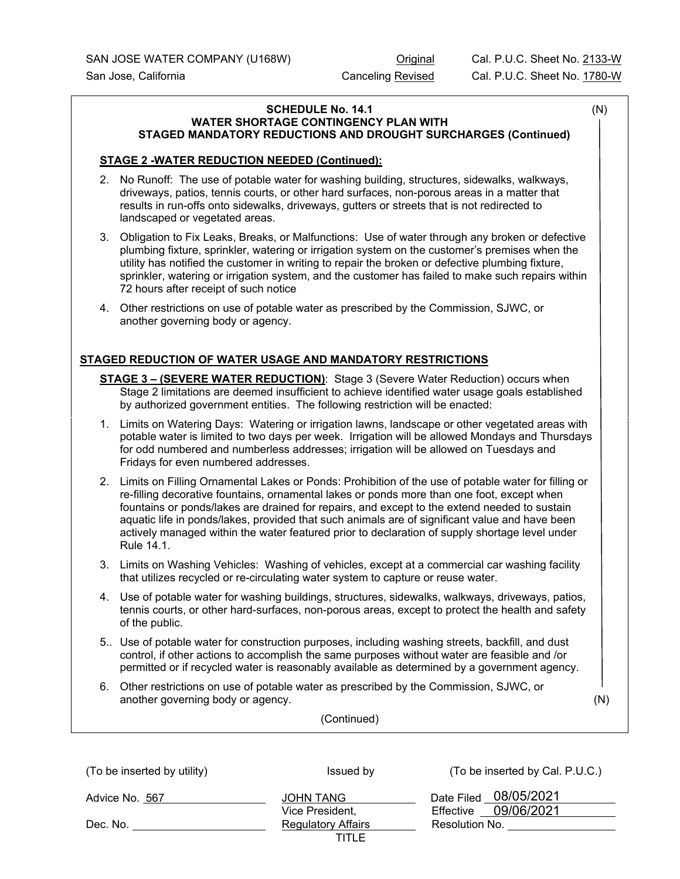### SCHEDULE No. 14.1 (N) **WATER SHORTAGE CONTINGENCY PLAN WITH STAGED MANDATORY REDUCTIONS AND DROUGHT SURCHARGES (Continued)**

# **STAGE 2 -WATER REDUCTION NEEDED (Continued):**

- 2. No Runoff: The use of potable water for washing building, structures, sidewalks, walkways, driveways, patios, tennis courts, or other hard surfaces, non-porous areas in a matter that results in run-offs onto sidewalks, driveways, gutters or streets that is not redirected to landscaped or vegetated areas.
- 3. Obligation to Fix Leaks, Breaks, or Malfunctions: Use of water through any broken or defective plumbing fixture, sprinkler, watering or irrigation system on the customer's premises when the utility has notified the customer in writing to repair the broken or defective plumbing fixture, sprinkler, watering or irrigation system, and the customer has failed to make such repairs within 72 hours after receipt of such notice
- 4. Other restrictions on use of potable water as prescribed by the Commission, SJWC, or another governing body or agency.

# **STAGED REDUCTION OF WATER USAGE AND MANDATORY RESTRICTIONS**

- **STAGE 3 – (SEVERE WATER REDUCTION)**: Stage 3 (Severe Water Reduction) occurs when Stage 2 limitations are deemed insufficient to achieve identified water usage goals established by authorized government entities. The following restriction will be enacted:
- 1. Limits on Watering Days: Watering or irrigation lawns, landscape or other vegetated areas with potable water is limited to two days per week. Irrigation will be allowed Mondays and Thursdays for odd numbered and numberless addresses; irrigation will be allowed on Tuesdays and Fridays for even numbered addresses.
- 2. Limits on Filling Ornamental Lakes or Ponds: Prohibition of the use of potable water for filling or re-filling decorative fountains, ornamental lakes or ponds more than one foot, except when fountains or ponds/lakes are drained for repairs, and except to the extend needed to sustain aquatic life in ponds/lakes, provided that such animals are of significant value and have been actively managed within the water featured prior to declaration of supply shortage level under Rule 14.1.
- 3. Limits on Washing Vehicles: Washing of vehicles, except at a commercial car washing facility that utilizes recycled or re-circulating water system to capture or reuse water.
- 4. Use of potable water for washing buildings, structures, sidewalks, walkways, driveways, patios, tennis courts, or other hard-surfaces, non-porous areas, except to protect the health and safety of the public.
- 5.. Use of potable water for construction purposes, including washing streets, backfill, and dust control, if other actions to accomplish the same purposes without water are feasible and /or permitted or if recycled water is reasonably available as determined by a government agency.
- 6. Other restrictions on use of potable water as prescribed by the Commission, SJWC, or another governing body or agency. (N)

| (To be inserted by utility) | Issued by                 | (To be inserted by Cal. P.U.C.) |
|-----------------------------|---------------------------|---------------------------------|
| Advice No. 567              | JOHN TANG                 | Date Filed 08/05/2021           |
|                             | Vice President.           | Effective 09/06/2021            |
| Dec. No.                    | <b>Regulatory Affairs</b> | Resolution No.                  |
|                             | TITLE                     |                                 |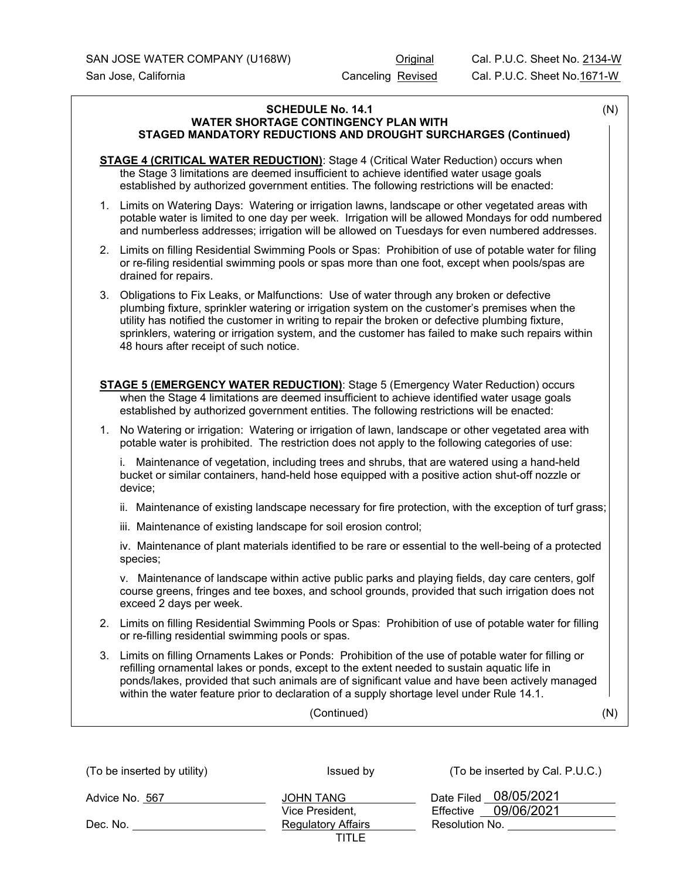#### **SCHEDULE No. 14.1** (N) **WATER SHORTAGE CONTINGENCY PLAN WITH STAGED MANDATORY REDUCTIONS AND DROUGHT SURCHARGES (Continued)**

**STAGE 4 (CRITICAL WATER REDUCTION)**: Stage 4 (Critical Water Reduction) occurs when the Stage 3 limitations are deemed insufficient to achieve identified water usage goals established by authorized government entities. The following restrictions will be enacted:

- 1. Limits on Watering Days: Watering or irrigation lawns, landscape or other vegetated areas with potable water is limited to one day per week. Irrigation will be allowed Mondays for odd numbered and numberless addresses; irrigation will be allowed on Tuesdays for even numbered addresses.
- 2. Limits on filling Residential Swimming Pools or Spas: Prohibition of use of potable water for filing or re-filing residential swimming pools or spas more than one foot, except when pools/spas are drained for repairs.
- 3. Obligations to Fix Leaks, or Malfunctions: Use of water through any broken or defective plumbing fixture, sprinkler watering or irrigation system on the customer's premises when the utility has notified the customer in writing to repair the broken or defective plumbing fixture, sprinklers, watering or irrigation system, and the customer has failed to make such repairs within 48 hours after receipt of such notice.

| <b>STAGE 5 (EMERGENCY WATER REDUCTION):</b> Stage 5 (Emergency Water Reduction) occurs       |
|----------------------------------------------------------------------------------------------|
| when the Stage 4 limitations are deemed insufficient to achieve identified water usage goals |
| established by authorized government entities. The following restrictions will be enacted:   |

1. No Watering or irrigation: Watering or irrigation of lawn, landscape or other vegetated area with potable water is prohibited. The restriction does not apply to the following categories of use:

i. Maintenance of vegetation, including trees and shrubs, that are watered using a hand-held bucket or similar containers, hand-held hose equipped with a positive action shut-off nozzle or device;

ii. Maintenance of existing landscape necessary for fire protection, with the exception of turf grass;

iii. Maintenance of existing landscape for soil erosion control;

iv. Maintenance of plant materials identified to be rare or essential to the well-being of a protected species;

v. Maintenance of landscape within active public parks and playing fields, day care centers, golf course greens, fringes and tee boxes, and school grounds, provided that such irrigation does not exceed 2 days per week.

- 2. Limits on filling Residential Swimming Pools or Spas: Prohibition of use of potable water for filling or re-filling residential swimming pools or spas.
- 3. Limits on filling Ornaments Lakes or Ponds: Prohibition of the use of potable water for filling or refilling ornamental lakes or ponds, except to the extent needed to sustain aquatic life in ponds/lakes, provided that such animals are of significant value and have been actively managed within the water feature prior to declaration of a supply shortage level under Rule 14.1.

(Continued) (N)

| (To be inserted by utility) | Issued by                           | (To be inserted by Cal. P.U.C.)                  |
|-----------------------------|-------------------------------------|--------------------------------------------------|
| Advice No. 567              | <b>JOHN TANG</b><br>Vice President, | Date Filed 08/05/2021<br>09/06/2021<br>Effective |
| Dec. No.                    | <b>Regulatory Affairs</b><br>TITLE  | Resolution No.                                   |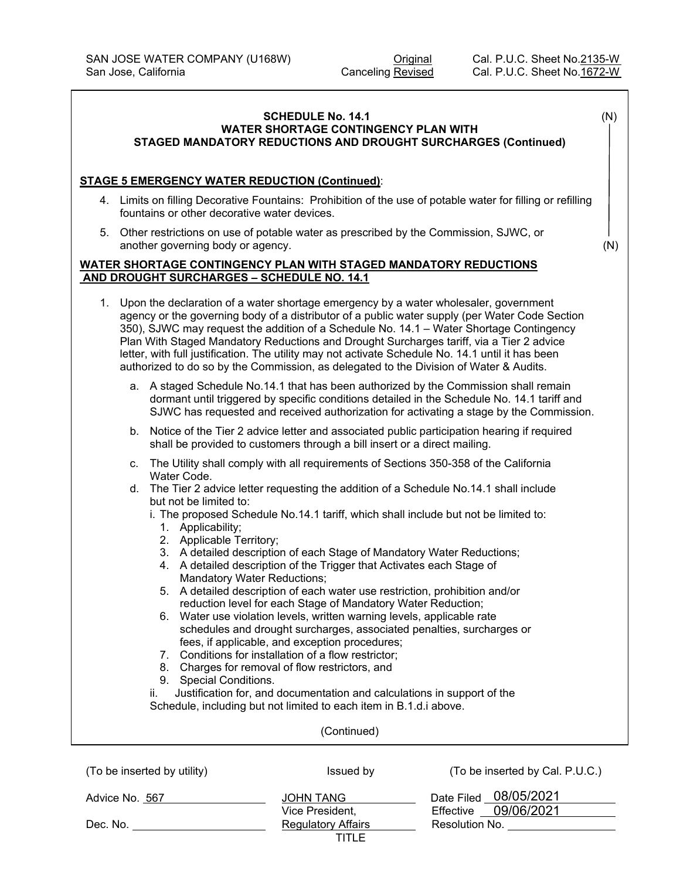### **SCHEDULE No. 14.1** (N) **WATER SHORTAGE CONTINGENCY PLAN WITH STAGED MANDATORY REDUCTIONS AND DROUGHT SURCHARGES (Continued)**

#### **STAGE 5 EMERGENCY WATER REDUCTION (Continued)**:

- 4. Limits on filling Decorative Fountains: Prohibition of the use of potable water for filling or refilling fountains or other decorative water devices.
- 5. Other restrictions on use of potable water as prescribed by the Commission, SJWC, or another governing body or agency. (N)

# **WATER SHORTAGE CONTINGENCY PLAN WITH STAGED MANDATORY REDUCTIONS AND DROUGHT SURCHARGES – SCHEDULE NO. 14.1**

| $1_{\cdot}$ |    | Upon the declaration of a water shortage emergency by a water wholesaler, government<br>agency or the governing body of a distributor of a public water supply (per Water Code Section<br>350), SJWC may request the addition of a Schedule No. 14.1 - Water Shortage Contingency<br>Plan With Staged Mandatory Reductions and Drought Surcharges tariff, via a Tier 2 advice<br>letter, with full justification. The utility may not activate Schedule No. 14.1 until it has been<br>authorized to do so by the Commission, as delegated to the Division of Water & Audits.                                                                                                                                                                                                                                                                                                                                                                                                                                                                                                                 |
|-------------|----|----------------------------------------------------------------------------------------------------------------------------------------------------------------------------------------------------------------------------------------------------------------------------------------------------------------------------------------------------------------------------------------------------------------------------------------------------------------------------------------------------------------------------------------------------------------------------------------------------------------------------------------------------------------------------------------------------------------------------------------------------------------------------------------------------------------------------------------------------------------------------------------------------------------------------------------------------------------------------------------------------------------------------------------------------------------------------------------------|
|             |    | a. A staged Schedule No.14.1 that has been authorized by the Commission shall remain<br>dormant until triggered by specific conditions detailed in the Schedule No. 14.1 tariff and<br>SJWC has requested and received authorization for activating a stage by the Commission.                                                                                                                                                                                                                                                                                                                                                                                                                                                                                                                                                                                                                                                                                                                                                                                                               |
|             | b. | Notice of the Tier 2 advice letter and associated public participation hearing if required<br>shall be provided to customers through a bill insert or a direct mailing.                                                                                                                                                                                                                                                                                                                                                                                                                                                                                                                                                                                                                                                                                                                                                                                                                                                                                                                      |
|             | C. | The Utility shall comply with all requirements of Sections 350-358 of the California<br>Water Code.                                                                                                                                                                                                                                                                                                                                                                                                                                                                                                                                                                                                                                                                                                                                                                                                                                                                                                                                                                                          |
|             |    | d. The Tier 2 advice letter requesting the addition of a Schedule No.14.1 shall include<br>but not be limited to:<br>i. The proposed Schedule No.14.1 tariff, which shall include but not be limited to:<br>1. Applicability;<br>2. Applicable Territory;<br>3. A detailed description of each Stage of Mandatory Water Reductions;<br>4. A detailed description of the Trigger that Activates each Stage of<br>Mandatory Water Reductions;<br>5. A detailed description of each water use restriction, prohibition and/or<br>reduction level for each Stage of Mandatory Water Reduction;<br>6. Water use violation levels, written warning levels, applicable rate<br>schedules and drought surcharges, associated penalties, surcharges or<br>fees, if applicable, and exception procedures;<br>7. Conditions for installation of a flow restrictor;<br>8. Charges for removal of flow restrictors, and<br>9. Special Conditions.<br>Justification for, and documentation and calculations in support of the<br>ii.<br>Schedule, including but not limited to each item in B.1.d.i above. |
|             |    | (Continued)                                                                                                                                                                                                                                                                                                                                                                                                                                                                                                                                                                                                                                                                                                                                                                                                                                                                                                                                                                                                                                                                                  |
|             |    |                                                                                                                                                                                                                                                                                                                                                                                                                                                                                                                                                                                                                                                                                                                                                                                                                                                                                                                                                                                                                                                                                              |

| (To be inserted by utility) | Issued by                 | (To be inserted by Cal. P.U.C.) |
|-----------------------------|---------------------------|---------------------------------|
| Advice No. 567              | <b>JOHN TANG</b>          | Date Filed 08/05/2021           |
|                             | Vice President,           | 09/06/2021<br>Effective         |
| Dec. No.                    | <b>Regulatory Affairs</b> | Resolution No.                  |
|                             | TITLE                     |                                 |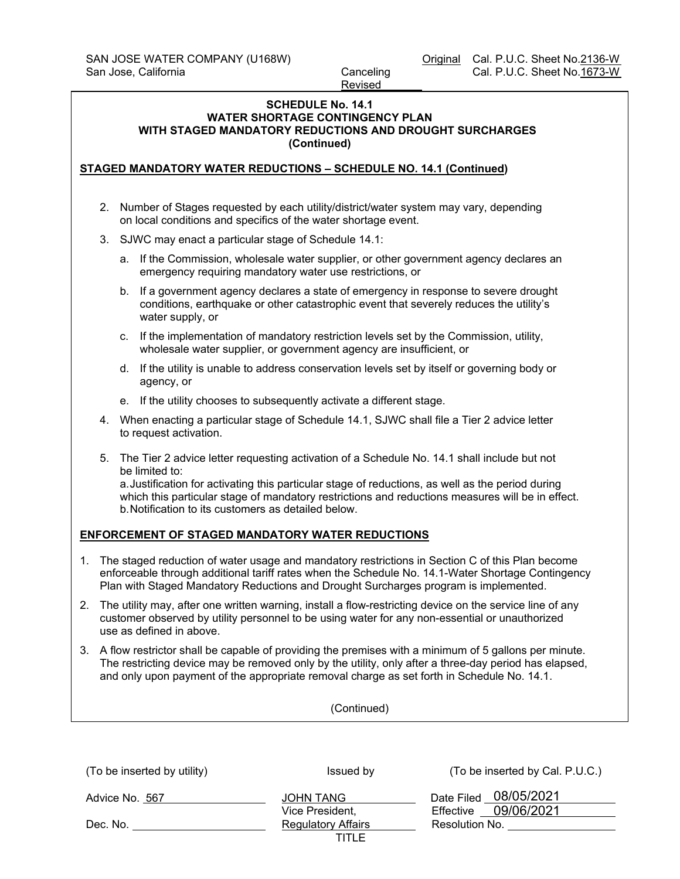# **SCHEDULE No. 14.1 WATER SHORTAGE CONTINGENCY PLAN WITH STAGED MANDATORY REDUCTIONS AND DROUGHT SURCHARGES (Continued)**

# **STAGED MANDATORY WATER REDUCTIONS – SCHEDULE NO. 14.1 (Continued)**

- 2. Number of Stages requested by each utility/district/water system may vary, depending on local conditions and specifics of the water shortage event.
- 3. SJWC may enact a particular stage of Schedule 14.1:
	- a. If the Commission, wholesale water supplier, or other government agency declares an emergency requiring mandatory water use restrictions, or
	- b. If a government agency declares a state of emergency in response to severe drought conditions, earthquake or other catastrophic event that severely reduces the utility's water supply, or
	- c. If the implementation of mandatory restriction levels set by the Commission, utility, wholesale water supplier, or government agency are insufficient, or
	- d. If the utility is unable to address conservation levels set by itself or governing body or agency, or
	- e. If the utility chooses to subsequently activate a different stage.
- 4. When enacting a particular stage of Schedule 14.1, SJWC shall file a Tier 2 advice letter to request activation.
- 5. The Tier 2 advice letter requesting activation of a Schedule No. 14.1 shall include but not be limited to:

a.Justification for activating this particular stage of reductions, as well as the period during which this particular stage of mandatory restrictions and reductions measures will be in effect. b.Notification to its customers as detailed below.

# **ENFORCEMENT OF STAGED MANDATORY WATER REDUCTIONS**

- 1. The staged reduction of water usage and mandatory restrictions in Section C of this Plan become enforceable through additional tariff rates when the Schedule No. 14.1-Water Shortage Contingency Plan with Staged Mandatory Reductions and Drought Surcharges program is implemented.
- 2. The utility may, after one written warning, install a flow-restricting device on the service line of any customer observed by utility personnel to be using water for any non-essential or unauthorized use as defined in above.
- 3. A flow restrictor shall be capable of providing the premises with a minimum of 5 gallons per minute. The restricting device may be removed only by the utility, only after a three-day period has elapsed, and only upon payment of the appropriate removal charge as set forth in Schedule No. 14.1.

| (To be inserted by utility) | Issued by                           | (To be inserted by Cal. P.U.C.)               |
|-----------------------------|-------------------------------------|-----------------------------------------------|
| Advice No. 567              | <b>JOHN TANG</b><br>Vice President. | Date Filed 08/05/2021<br>Effective 09/06/2021 |
| Dec. No.                    | <b>Regulatory Affairs</b>           | Resolution No.                                |
|                             | TITLE                               |                                               |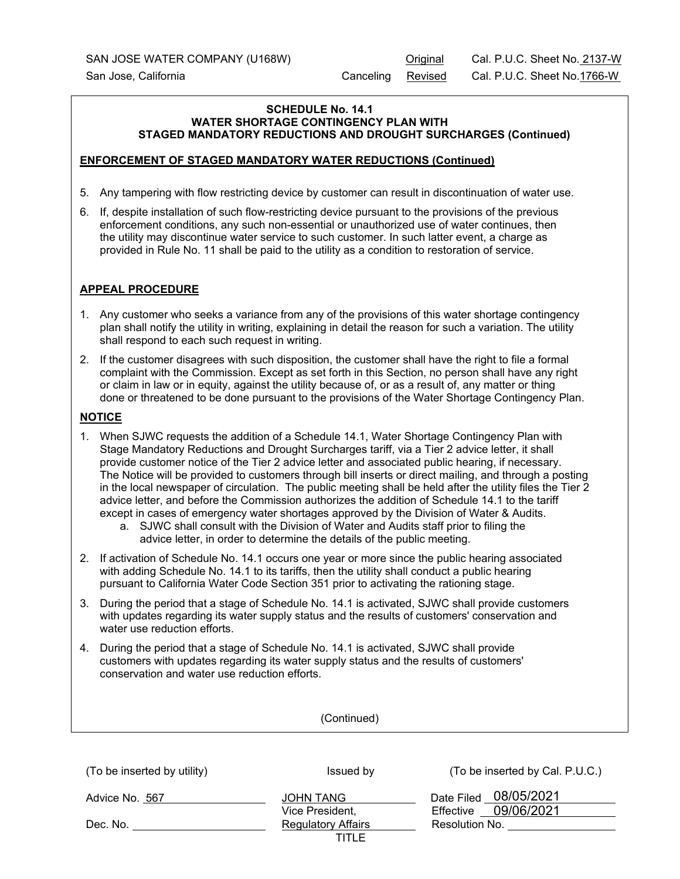# **SCHEDULE No. 14.1 WATER SHORTAGE CONTINGENCY PLAN WITH STAGED MANDATORY REDUCTIONS AND DROUGHT SURCHARGES (Continued)**

# **ENFORCEMENT OF STAGED MANDATORY WATER REDUCTIONS (Continued)**

- 5. Any tampering with flow restricting device by customer can result in discontinuation of water use.
- 6. If, despite installation of such flow-restricting device pursuant to the provisions of the previous enforcement conditions, any such non-essential or unauthorized use of water continues, then the utility may discontinue water service to such customer. In such latter event, a charge as provided in Rule No. 11 shall be paid to the utility as a condition to restoration of service.

# **APPEAL PROCEDURE**

- 1. Any customer who seeks a variance from any of the provisions of this water shortage contingency plan shall notify the utility in writing, explaining in detail the reason for such a variation. The utility shall respond to each such request in writing.
- 2. If the customer disagrees with such disposition, the customer shall have the right to file a formal complaint with the Commission. Except as set forth in this Section, no person shall have any right or claim in law or in equity, against the utility because of, or as a result of, any matter or thing done or threatened to be done pursuant to the provisions of the Water Shortage Contingency Plan.

# **NOTICE**

- 1. When SJWC requests the addition of a Schedule 14.1, Water Shortage Contingency Plan with Stage Mandatory Reductions and Drought Surcharges tariff, via a Tier 2 advice letter, it shall provide customer notice of the Tier 2 advice letter and associated public hearing, if necessary. The Notice will be provided to customers through bill inserts or direct mailing, and through a posting in the local newspaper of circulation. The public meeting shall be held after the utility files the Tier 2 advice letter, and before the Commission authorizes the addition of Schedule 14.1 to the tariff except in cases of emergency water shortages approved by the Division of Water & Audits.
	- a. SJWC shall consult with the Division of Water and Audits staff prior to filing the advice letter, in order to determine the details of the public meeting.
- 2. If activation of Schedule No. 14.1 occurs one year or more since the public hearing associated with adding Schedule No. 14.1 to its tariffs, then the utility shall conduct a public hearing pursuant to California Water Code Section 351 prior to activating the rationing stage.
- 3. During the period that a stage of Schedule No. 14.1 is activated, SJWC shall provide customers with updates regarding its water supply status and the results of customers' conservation and water use reduction efforts.
- 4. During the period that a stage of Schedule No. 14.1 is activated, SJWC shall provide customers with updates regarding its water supply status and the results of customers' conservation and water use reduction efforts.

| (To be inserted by utility) | Issued by                          | (To be inserted by Cal. P.U.C.)                  |
|-----------------------------|------------------------------------|--------------------------------------------------|
| Advice No. 567              | JOHN TANG<br>Vice President,       | Date Filed 08/05/2021<br>09/06/2021<br>Effective |
| Dec. No.                    | <b>Regulatory Affairs</b><br>TITLE | Resolution No.                                   |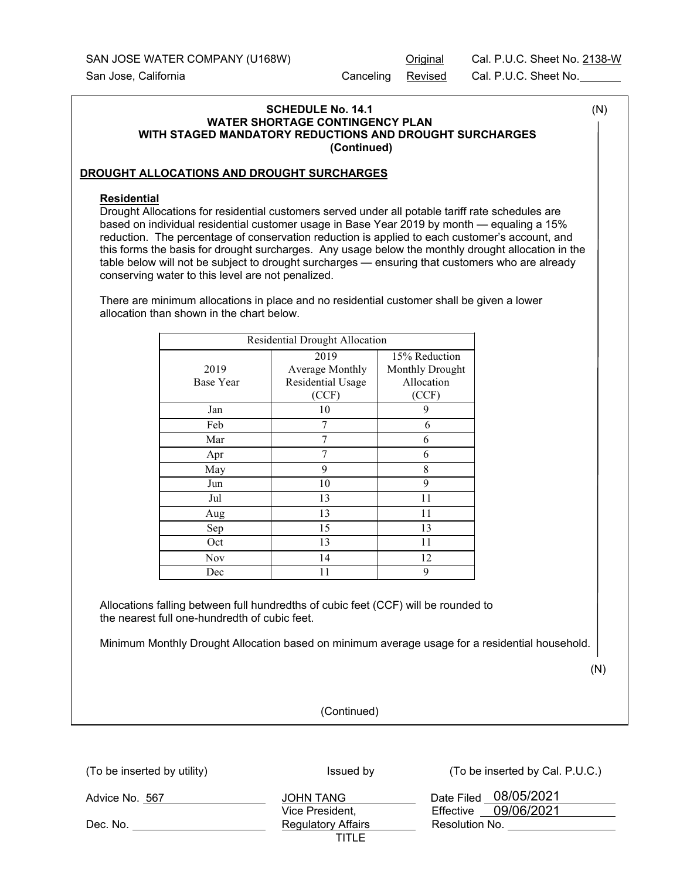SAN JOSE WATER COMPANY (U168W) Contract Cal. P.U.C. Sheet No. 2138-W

San Jose, California Canceling Revised Cal. P.U.C. Sheet No.

# (To be inserted by utility) Issued by Issued by  $($ To be inserted by Cal. P.U.C.) **SCHEDULE No. 14.1** (N)  **WATER SHORTAGE CONTINGENCY PLAN WITH STAGED MANDATORY REDUCTIONS AND DROUGHT SURCHARGES (Continued) DROUGHT ALLOCATIONS AND DROUGHT SURCHARGES Residential**  Drought Allocations for residential customers served under all potable tariff rate schedules are based on individual residential customer usage in Base Year 2019 by month — equaling a 15% reduction. The percentage of conservation reduction is applied to each customer's account, and this forms the basis for drought surcharges. Any usage below the monthly drought allocation in the table below will not be subject to drought surcharges — ensuring that customers who are already conserving water to this level are not penalized. There are minimum allocations in place and no residential customer shall be given a lower allocation than shown in the chart below. Residential Drought Allocation 2019 Base Year 2019 Average Monthly Residential Usage (CCF) 15% Reduction Monthly Drought Allocation (CCF) Jan 10 9 Feb  $7$  6 Mar 1 7 6 Apr  $7$  6 May  $9 \t 8$ Jun 10 9 Jul 13 11 Aug 13 11 Sep 15 13 Oct 13 11 Nov 14 12 Dec 11 9 Allocations falling between full hundredths of cubic feet (CCF) will be rounded to the nearest full one-hundredth of cubic feet. Minimum Monthly Drought Allocation based on minimum average usage for a residential household. (N) (Continued)

| Advice No. 567 | JOHN TANG                 | Date Filed 08/05/2021   |
|----------------|---------------------------|-------------------------|
|                | Vice President,           | 09/06/2021<br>Effective |
| Dec. No.       | <b>Regulatory Affairs</b> | Resolution No.          |
|                | TITLE                     |                         |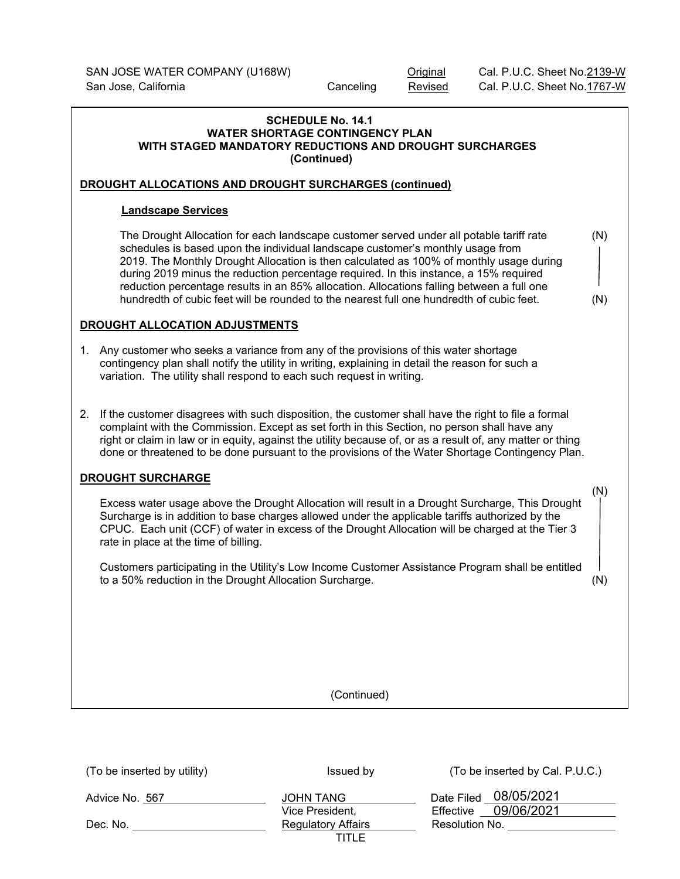#### **SCHEDULE No. 14.1 WATER SHORTAGE CONTINGENCY PLAN WITH STAGED MANDATORY REDUCTIONS AND DROUGHT SURCHARGES (Continued)**

# **DROUGHT ALLOCATIONS AND DROUGHT SURCHARGES (continued)**

# **Landscape Services**

The Drought Allocation for each landscape customer served under all potable tariff rate (N) schedules is based upon the individual landscape customer's monthly usage from 2019. The Monthly Drought Allocation is then calculated as 100% of monthly usage during during 2019 minus the reduction percentage required. In this instance, a 15% required reduction percentage results in an 85% allocation. Allocations falling between a full one hundredth of cubic feet will be rounded to the nearest full one hundredth of cubic feet. (N)

# **DROUGHT ALLOCATION ADJUSTMENTS**

- 1. Any customer who seeks a variance from any of the provisions of this water shortage contingency plan shall notify the utility in writing, explaining in detail the reason for such a variation. The utility shall respond to each such request in writing.
- 2. If the customer disagrees with such disposition, the customer shall have the right to file a formal complaint with the Commission. Except as set forth in this Section, no person shall have any right or claim in law or in equity, against the utility because of, or as a result of, any matter or thing done or threatened to be done pursuant to the provisions of the Water Shortage Contingency Plan.

# **DROUGHT SURCHARGE**

 (N) Excess water usage above the Drought Allocation will result in a Drought Surcharge, This Drought Surcharge is in addition to base charges allowed under the applicable tariffs authorized by the CPUC. Each unit (CCF) of water in excess of the Drought Allocation will be charged at the Tier 3 rate in place at the time of billing.

Customers participating in the Utility's Low Income Customer Assistance Program shall be entitled to a 50% reduction in the Drought Allocation Surcharge. (N)

| (To be inserted by utility) | Issued by                          | (To be inserted by Cal. P.U.C.)                  |
|-----------------------------|------------------------------------|--------------------------------------------------|
| Advice No. 567              | JOHN TANG<br>Vice President,       | Date Filed 08/05/2021<br>09/06/2021<br>Effective |
| Dec. No.                    | <b>Regulatory Affairs</b><br>TITLE | Resolution No.                                   |